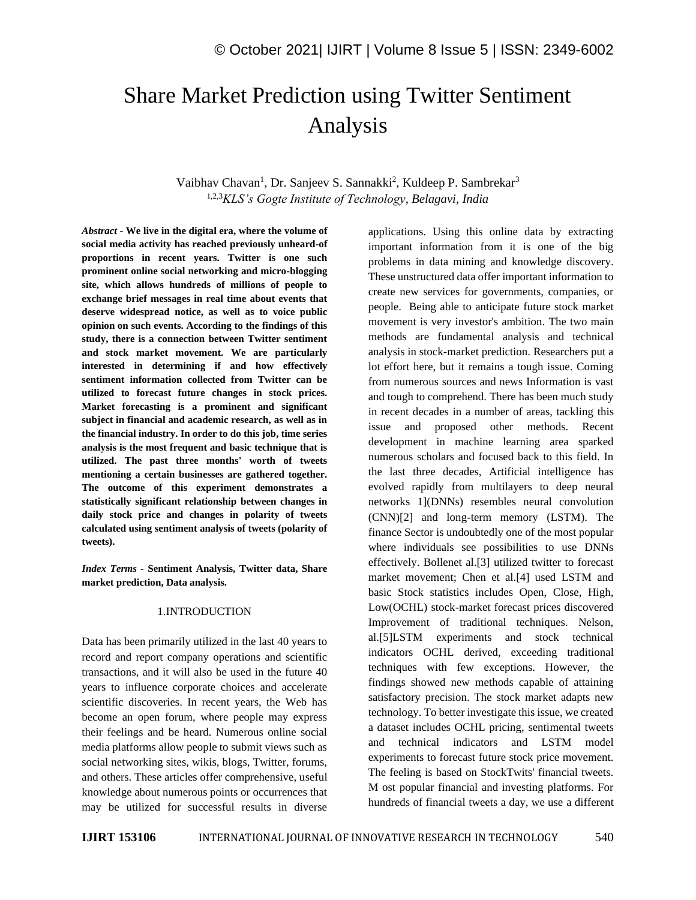# Share Market Prediction using Twitter Sentiment Analysis

Vaibhav Chavan<sup>1</sup>, Dr. Sanjeev S. Sannakki<sup>2</sup>, Kuldeep P. Sambrekar<sup>3</sup> 1,2,3*KLS's Gogte Institute of Technology, Belagavi, India*

*Abstract -* **We live in the digital era, where the volume of social media activity has reached previously unheard-of proportions in recent years. Twitter is one such prominent online social networking and micro-blogging site, which allows hundreds of millions of people to exchange brief messages in real time about events that deserve widespread notice, as well as to voice public opinion on such events. According to the findings of this study, there is a connection between Twitter sentiment and stock market movement. We are particularly interested in determining if and how effectively sentiment information collected from Twitter can be utilized to forecast future changes in stock prices. Market forecasting is a prominent and significant subject in financial and academic research, as well as in the financial industry. In order to do this job, time series analysis is the most frequent and basic technique that is utilized. The past three months' worth of tweets mentioning a certain businesses are gathered together. The outcome of this experiment demonstrates a statistically significant relationship between changes in daily stock price and changes in polarity of tweets calculated using sentiment analysis of tweets (polarity of tweets).**

*Index Terms -* **Sentiment Analysis, Twitter data, Share market prediction, Data analysis.**

## 1.INTRODUCTION

Data has been primarily utilized in the last 40 years to record and report company operations and scientific transactions, and it will also be used in the future 40 years to influence corporate choices and accelerate scientific discoveries. In recent years, the Web has become an open forum, where people may express their feelings and be heard. Numerous online social media platforms allow people to submit views such as social networking sites, wikis, blogs, Twitter, forums, and others. These articles offer comprehensive, useful knowledge about numerous points or occurrences that may be utilized for successful results in diverse applications. Using this online data by extracting important information from it is one of the big problems in data mining and knowledge discovery. These unstructured data offer important information to create new services for governments, companies, or people. Being able to anticipate future stock market movement is very investor's ambition. The two main methods are fundamental analysis and technical analysis in stock-market prediction. Researchers put a lot effort here, but it remains a tough issue. Coming from numerous sources and news Information is vast and tough to comprehend. There has been much study in recent decades in a number of areas, tackling this issue and proposed other methods. Recent development in machine learning area sparked numerous scholars and focused back to this field. In the last three decades, Artificial intelligence has evolved rapidly from multilayers to deep neural networks 1](DNNs) resembles neural convolution (CNN)[2] and long-term memory (LSTM). The finance Sector is undoubtedly one of the most popular where individuals see possibilities to use DNNs effectively. Bollenet al.[3] utilized twitter to forecast market movement; Chen et al.[4] used LSTM and basic Stock statistics includes Open, Close, High, Low(OCHL) stock-market forecast prices discovered Improvement of traditional techniques. Nelson, al.[5]LSTM experiments and stock technical indicators OCHL derived, exceeding traditional techniques with few exceptions. However, the findings showed new methods capable of attaining satisfactory precision. The stock market adapts new technology. To better investigate this issue, we created a dataset includes OCHL pricing, sentimental tweets and technical indicators and LSTM model experiments to forecast future stock price movement. The feeling is based on StockTwits' financial tweets. M ost popular financial and investing platforms. For hundreds of financial tweets a day, we use a different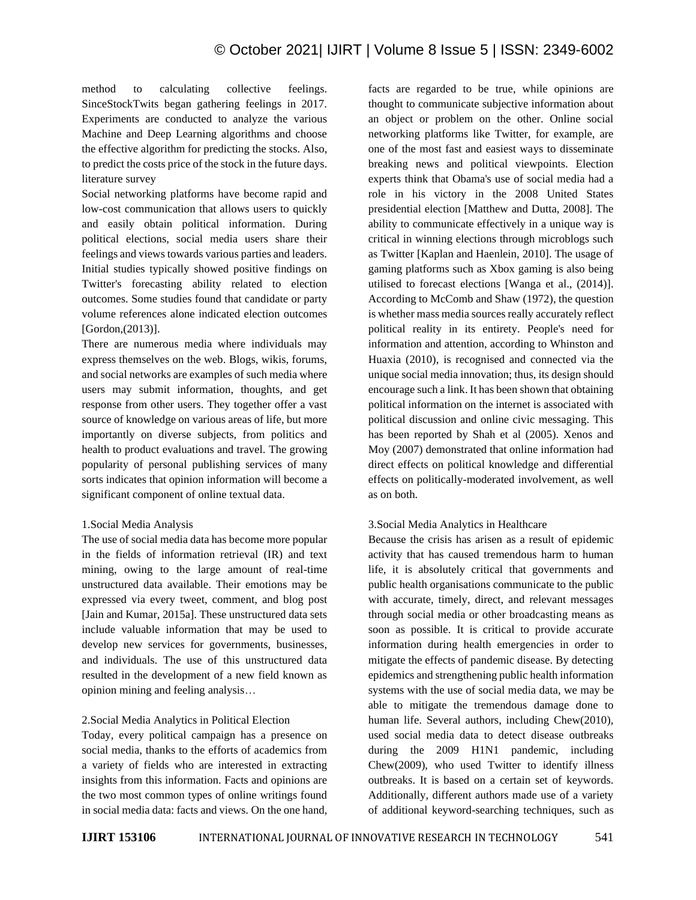method to calculating collective feelings. SinceStockTwits began gathering feelings in 2017. Experiments are conducted to analyze the various Machine and Deep Learning algorithms and choose the effective algorithm for predicting the stocks. Also, to predict the costs price of the stock in the future days. literature survey

Social networking platforms have become rapid and low-cost communication that allows users to quickly and easily obtain political information. During political elections, social media users share their feelings and views towards various parties and leaders. Initial studies typically showed positive findings on Twitter's forecasting ability related to election outcomes. Some studies found that candidate or party volume references alone indicated election outcomes [Gordon, (2013)].

There are numerous media where individuals may express themselves on the web. Blogs, wikis, forums, and social networks are examples of such media where users may submit information, thoughts, and get response from other users. They together offer a vast source of knowledge on various areas of life, but more importantly on diverse subjects, from politics and health to product evaluations and travel. The growing popularity of personal publishing services of many sorts indicates that opinion information will become a significant component of online textual data.

# 1.Social Media Analysis

The use of social media data has become more popular in the fields of information retrieval (IR) and text mining, owing to the large amount of real-time unstructured data available. Their emotions may be expressed via every tweet, comment, and blog post [Jain and Kumar, 2015a]. These unstructured data sets include valuable information that may be used to develop new services for governments, businesses, and individuals. The use of this unstructured data resulted in the development of a new field known as opinion mining and feeling analysis…

# 2.Social Media Analytics in Political Election

Today, every political campaign has a presence on social media, thanks to the efforts of academics from a variety of fields who are interested in extracting insights from this information. Facts and opinions are the two most common types of online writings found in social media data: facts and views. On the one hand, facts are regarded to be true, while opinions are thought to communicate subjective information about an object or problem on the other. Online social networking platforms like Twitter, for example, are one of the most fast and easiest ways to disseminate breaking news and political viewpoints. Election experts think that Obama's use of social media had a role in his victory in the 2008 United States presidential election [Matthew and Dutta, 2008]. The ability to communicate effectively in a unique way is critical in winning elections through microblogs such as Twitter [Kaplan and Haenlein, 2010]. The usage of gaming platforms such as Xbox gaming is also being utilised to forecast elections [Wanga et al., (2014)]. According to McComb and Shaw (1972), the question is whether mass media sources really accurately reflect political reality in its entirety. People's need for information and attention, according to Whinston and Huaxia (2010), is recognised and connected via the unique social media innovation; thus, its design should encourage such a link. It has been shown that obtaining political information on the internet is associated with political discussion and online civic messaging. This has been reported by Shah et al (2005). Xenos and Moy (2007) demonstrated that online information had direct effects on political knowledge and differential effects on politically-moderated involvement, as well as on both.

# 3.Social Media Analytics in Healthcare

Because the crisis has arisen as a result of epidemic activity that has caused tremendous harm to human life, it is absolutely critical that governments and public health organisations communicate to the public with accurate, timely, direct, and relevant messages through social media or other broadcasting means as soon as possible. It is critical to provide accurate information during health emergencies in order to mitigate the effects of pandemic disease. By detecting epidemics and strengthening public health information systems with the use of social media data, we may be able to mitigate the tremendous damage done to human life. Several authors, including Chew(2010), used social media data to detect disease outbreaks during the 2009 H1N1 pandemic, including Chew(2009), who used Twitter to identify illness outbreaks. It is based on a certain set of keywords. Additionally, different authors made use of a variety of additional keyword-searching techniques, such as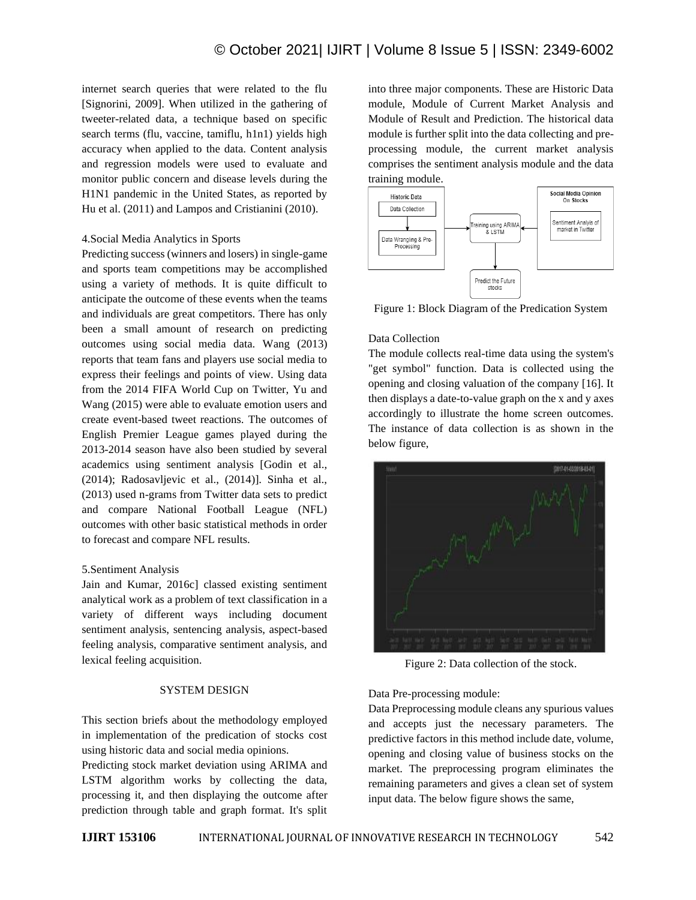internet search queries that were related to the flu [Signorini, 2009]. When utilized in the gathering of tweeter-related data, a technique based on specific search terms (flu, vaccine, tamiflu, h1n1) yields high accuracy when applied to the data. Content analysis and regression models were used to evaluate and monitor public concern and disease levels during the H1N1 pandemic in the United States, as reported by Hu et al. (2011) and Lampos and Cristianini (2010).

## 4.Social Media Analytics in Sports

Predicting success (winners and losers) in single-game and sports team competitions may be accomplished using a variety of methods. It is quite difficult to anticipate the outcome of these events when the teams and individuals are great competitors. There has only been a small amount of research on predicting outcomes using social media data. Wang (2013) reports that team fans and players use social media to express their feelings and points of view. Using data from the 2014 FIFA World Cup on Twitter, Yu and Wang (2015) were able to evaluate emotion users and create event-based tweet reactions. The outcomes of English Premier League games played during the 2013-2014 season have also been studied by several academics using sentiment analysis [Godin et al., (2014); Radosavljevic et al., (2014)]. Sinha et al., (2013) used n-grams from Twitter data sets to predict and compare National Football League (NFL) outcomes with other basic statistical methods in order to forecast and compare NFL results.

#### 5.Sentiment Analysis

Jain and Kumar, 2016c] classed existing sentiment analytical work as a problem of text classification in a variety of different ways including document sentiment analysis, sentencing analysis, aspect-based feeling analysis, comparative sentiment analysis, and lexical feeling acquisition.

#### SYSTEM DESIGN

This section briefs about the methodology employed in implementation of the predication of stocks cost using historic data and social media opinions.

Predicting stock market deviation using ARIMA and LSTM algorithm works by collecting the data, processing it, and then displaying the outcome after prediction through table and graph format. It's split into three major components. These are Historic Data module, Module of Current Market Analysis and Module of Result and Prediction. The historical data module is further split into the data collecting and preprocessing module, the current market analysis comprises the sentiment analysis module and the data training module.



Figure 1: Block Diagram of the Predication System

## Data Collection

The module collects real-time data using the system's "get symbol" function. Data is collected using the opening and closing valuation of the company [16]. It then displays a date-to-value graph on the x and y axes accordingly to illustrate the home screen outcomes. The instance of data collection is as shown in the below figure,



Figure 2: Data collection of the stock.

Data Pre-processing module:

Data Preprocessing module cleans any spurious values and accepts just the necessary parameters. The predictive factors in this method include date, volume, opening and closing value of business stocks on the market. The preprocessing program eliminates the remaining parameters and gives a clean set of system input data. The below figure shows the same,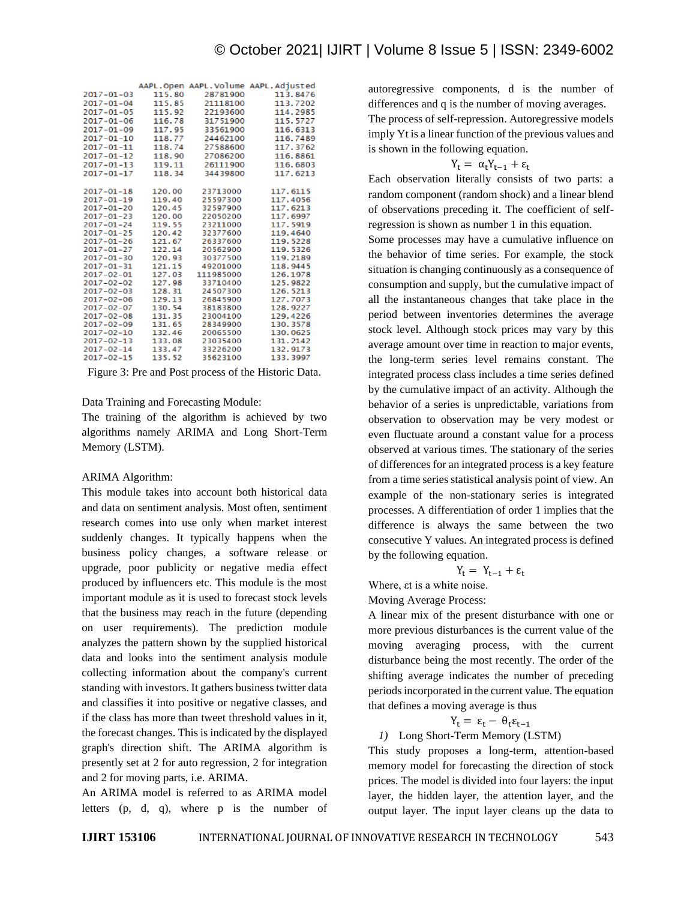|                  |        |           | AAPL.Open AAPL.Volume AAPL.Adjusted |
|------------------|--------|-----------|-------------------------------------|
| $2017 - 01 - 03$ | 115.80 | 28781900  | 113.8476                            |
| $2017 - 01 - 04$ | 115.85 | 21118100  | 113.7202                            |
| $2017 - 01 - 05$ | 115.92 | 22193600  | 114.2985                            |
| $2017 - 01 - 06$ | 116.78 | 31751900  | 115, 5727                           |
| $2017 - 01 - 09$ | 117.95 | 33561900  | 116.6313                            |
| $2017 - 01 - 10$ | 118.77 | 24462100  | 116,7489                            |
| $2017 - 01 - 11$ | 118.74 | 27588600  | 117.3762                            |
| $2017 - 01 - 12$ | 118.90 | 27086200  | 116.8861                            |
| $2017 - 01 - 13$ | 119.11 | 26111900  | 116.6803                            |
| 2017-01-17       | 118.34 | 34439800  | 117.6213                            |
|                  |        |           |                                     |
| $2017 - 01 - 18$ | 120.00 | 23713000  | 117.6115                            |
| $2017 - 01 - 19$ | 119.40 | 25597300  | 117.4056                            |
| $2017 - 01 - 20$ | 120.45 | 32597900  | 117.6213                            |
| $2017 - 01 - 23$ | 120.00 | 22050200  | 117.6997                            |
| $2017 - 01 - 24$ | 119.55 | 23211000  | 117, 5919                           |
| $2017 - 01 - 25$ | 120.42 | 32377600  | 119,4640                            |
| $2017 - 01 - 26$ | 121.67 | 26337600  | 119, 5228                           |
| $2017 - 01 - 27$ | 122.14 | 20562900  | 119, 5326                           |
| $2017 - 01 - 30$ | 120.93 | 30377500  | 119.2189                            |
| $2017 - 01 - 31$ | 121.15 | 49201000  | 118.9445                            |
| $2017 - 02 - 01$ | 127.03 | 111985000 | 126.1978                            |
| $2017 - 02 - 02$ | 127.98 | 33710400  | 125.9822                            |
| $2017 - 02 - 03$ | 128.31 | 24507300  | 126.5213                            |
| $2017 - 02 - 06$ | 129.13 | 26845900  | 127.7073                            |
| $2017 - 02 - 07$ | 130.54 | 38183800  | 128.9227                            |
| $2017 - 02 - 08$ | 131.35 | 23004100  | 129.4226                            |
| $2017 - 02 - 09$ | 131.65 | 28349900  | 130.3578                            |
| $2017 - 02 - 10$ | 132.46 | 20065500  | 130.0625                            |
| $2017 - 02 - 13$ | 133.08 | 23035400  | 131.2142                            |
| $2017 - 02 - 14$ | 133.47 | 33226200  | 132.9173                            |
| 2017-02-15       | 135.52 | 35623100  | 133, 3997                           |

Figure 3: Pre and Post process of the Historic Data.

Data Training and Forecasting Module:

The training of the algorithm is achieved by two algorithms namely ARIMA and Long Short-Term Memory (LSTM).

#### ARIMA Algorithm:

This module takes into account both historical data and data on sentiment analysis. Most often, sentiment research comes into use only when market interest suddenly changes. It typically happens when the business policy changes, a software release or upgrade, poor publicity or negative media effect produced by influencers etc. This module is the most important module as it is used to forecast stock levels that the business may reach in the future (depending on user requirements). The prediction module analyzes the pattern shown by the supplied historical data and looks into the sentiment analysis module collecting information about the company's current standing with investors. It gathers business twitter data and classifies it into positive or negative classes, and if the class has more than tweet threshold values in it, the forecast changes. This is indicated by the displayed graph's direction shift. The ARIMA algorithm is presently set at 2 for auto regression, 2 for integration and 2 for moving parts, i.e. ARIMA.

An ARIMA model is referred to as ARIMA model letters (p, d, q), where p is the number of autoregressive components, d is the number of differences and q is the number of moving averages.

The process of self-repression. Autoregressive models imply Yt is a linear function of the previous values and is shown in the following equation.

$$
Y_t = \alpha_t Y_{t-1} + \epsilon_t
$$

Each observation literally consists of two parts: a random component (random shock) and a linear blend of observations preceding it. The coefficient of selfregression is shown as number 1 in this equation.

Some processes may have a cumulative influence on the behavior of time series. For example, the stock situation is changing continuously as a consequence of consumption and supply, but the cumulative impact of all the instantaneous changes that take place in the period between inventories determines the average stock level. Although stock prices may vary by this average amount over time in reaction to major events, the long-term series level remains constant. The integrated process class includes a time series defined by the cumulative impact of an activity. Although the behavior of a series is unpredictable, variations from observation to observation may be very modest or even fluctuate around a constant value for a process observed at various times. The stationary of the series of differences for an integrated process is a key feature from a time series statistical analysis point of view. An example of the non-stationary series is integrated processes. A differentiation of order 1 implies that the difference is always the same between the two consecutive Y values. An integrated process is defined by the following equation.

$$
Y_t = Y_{t-1} + \epsilon_t
$$

Where, εt is a white noise.

Moving Average Process:

A linear mix of the present disturbance with one or more previous disturbances is the current value of the moving averaging process, with the current disturbance being the most recently. The order of the shifting average indicates the number of preceding periods incorporated in the current value. The equation that defines a moving average is thus

$$
Y_t = \varepsilon_t - \theta_t \varepsilon_{t-1}
$$

*1)* Long Short-Term Memory (LSTM)

This study proposes a long-term, attention-based memory model for forecasting the direction of stock prices. The model is divided into four layers: the input layer, the hidden layer, the attention layer, and the output layer. The input layer cleans up the data to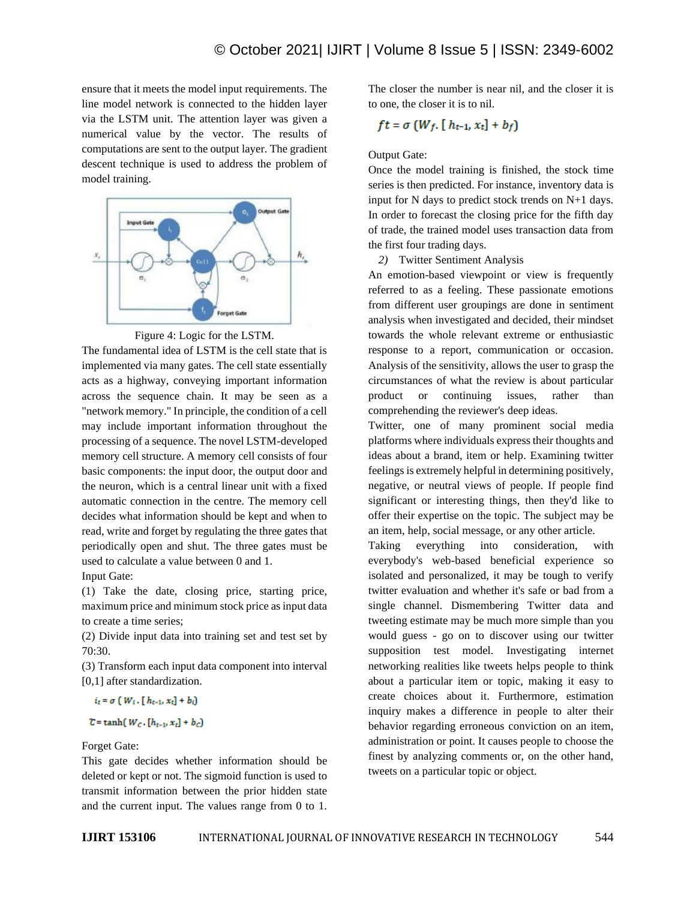ensure that it meets the model input requirements. The line model network is connected to the hidden layer via the LSTM unit. The attention layer was given a numerical value by the vector. The results of computations are sent to the output layer. The gradient descent technique is used to address the problem of model training.



Figure 4: Logic for the LSTM.

The fundamental idea of LSTM is the cell state that is implemented via many gates. The cell state essentially acts as a highway, conveying important information across the sequence chain. It may be seen as a "network memory." In principle, the condition of a cell may include important information throughout the processing of a sequence. The novel LSTM-developed memory cell structure. A memory cell consists of four basic components: the input door, the output door and the neuron, which is a central linear unit with a fixed automatic connection in the centre. The memory cell decides what information should be kept and when to read, write and forget by regulating the three gates that periodically open and shut. The three gates must be used to calculate a value between 0 and 1. Input Gate:

(1) Take the date, closing price, starting price, maximum price and minimum stock price as input data to create a time series;

(2) Divide input data into training set and test set by 70:30.

(3) Transform each input data component into interval [0,1] after standardization.

 $i_t = \sigma (W_t, [h_{t-1}, x_t] + b_t)$ 

$$
\mathcal{C} = \tanh\left(W_c \cdot [h_{t-1}, x_t] + b_c\right)
$$

## Forget Gate:

This gate decides whether information should be deleted or kept or not. The sigmoid function is used to transmit information between the prior hidden state and the current input. The values range from 0 to 1. The closer the number is near nil, and the closer it is to one, the closer it is to nil.

$$
ft = \sigma\left(W_f, \left[ h_{t-1}, x_t\right] + b_f\right)
$$

## Output Gate:

Once the model training is finished, the stock time series is then predicted. For instance, inventory data is input for N days to predict stock trends on N+1 days. In order to forecast the closing price for the fifth day of trade, the trained model uses transaction data from the first four trading days.

*2)* Twitter Sentiment Analysis

An emotion-based viewpoint or view is frequently referred to as a feeling. These passionate emotions from different user groupings are done in sentiment analysis when investigated and decided, their mindset towards the whole relevant extreme or enthusiastic response to a report, communication or occasion. Analysis of the sensitivity, allows the user to grasp the circumstances of what the review is about particular product or continuing issues, rather than comprehending the reviewer's deep ideas.

Twitter, one of many prominent social media platforms where individuals express their thoughts and ideas about a brand, item or help. Examining twitter feelings is extremely helpful in determining positively, negative, or neutral views of people. If people find significant or interesting things, then they'd like to offer their expertise on the topic. The subject may be an item, help, social message, or any other article.

Taking everything into consideration, with everybody's web-based beneficial experience so isolated and personalized, it may be tough to verify twitter evaluation and whether it's safe or bad from a single channel. Dismembering Twitter data and tweeting estimate may be much more simple than you would guess - go on to discover using our twitter supposition test model. Investigating internet networking realities like tweets helps people to think about a particular item or topic, making it easy to create choices about it. Furthermore, estimation inquiry makes a difference in people to alter their behavior regarding erroneous conviction on an item, administration or point. It causes people to choose the finest by analyzing comments or, on the other hand, tweets on a particular topic or object.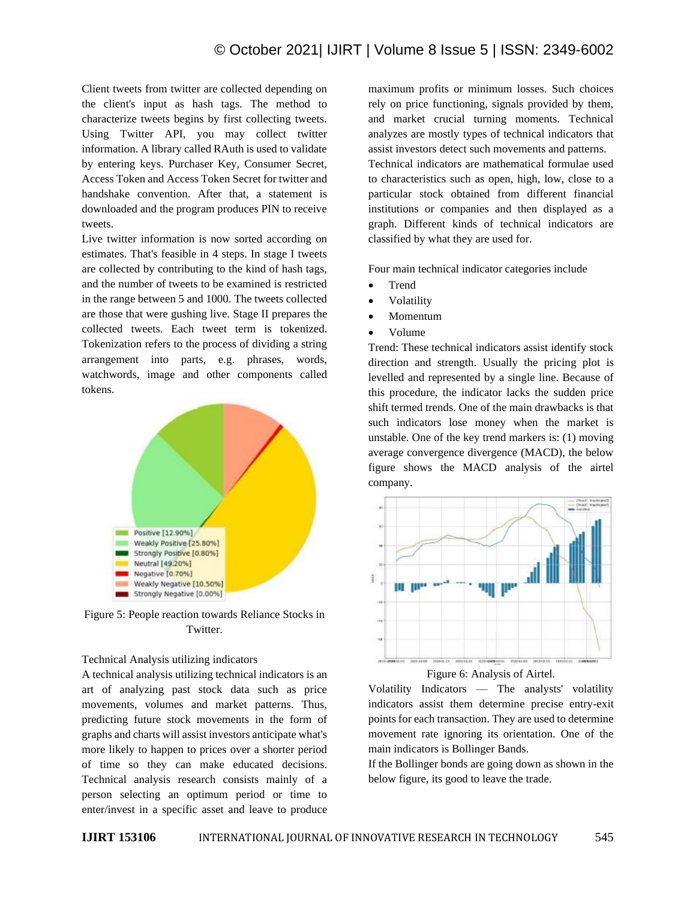Client tweets from twitter are collected depending on the client's input as hash tags. The method to characterize tweets begins by first collecting tweets. Using Twitter API, you may collect twitter information. A library called RAuth is used to validate by entering keys. Purchaser Key, Consumer Secret, Access Token and Access Token Secret for twitter and handshake convention. After that, a statement is downloaded and the program produces PIN to receive tweets.

Live twitter information is now sorted according on estimates. That's feasible in 4 steps. In stage I tweets are collected by contributing to the kind of hash tags, and the number of tweets to be examined is restricted in the range between 5 and 1000. The tweets collected are those that were gushing live. Stage II prepares the collected tweets. Each tweet term is tokenized. Tokenization refers to the process of dividing a string arrangement into parts, e.g. phrases, words, watchwords, image and other components called tokens.



Figure 5: People reaction towards Reliance Stocks in Twitter.

## Technical Analysis utilizing indicators

A technical analysis utilizing technical indicators is an art of analyzing past stock data such as price movements, volumes and market patterns. Thus, predicting future stock movements in the form of graphs and charts will assist investors anticipate what's more likely to happen to prices over a shorter period of time so they can make educated decisions. Technical analysis research consists mainly of a person selecting an optimum period or time to enter/invest in a specific asset and leave to produce

maximum profits or minimum losses. Such choices rely on price functioning, signals provided by them, and market crucial turning moments. Technical analyzes are mostly types of technical indicators that assist investors detect such movements and patterns. Technical indicators are mathematical formulae used to characteristics such as open, high, low, close to a particular stock obtained from different financial institutions or companies and then displayed as a graph. Different kinds of technical indicators are classified by what they are used for.

Four main technical indicator categories include

- Trend
- Volatility
- Momentum
- Volume

Trend: These technical indicators assist identify stock direction and strength. Usually the pricing plot is levelled and represented by a single line. Because of this procedure, the indicator lacks the sudden price shift termed trends. One of the main drawbacks is that such indicators lose money when the market is unstable. One of the key trend markers is: (1) moving average convergence divergence (MACD), the below figure shows the MACD analysis of the airtel company.



Figure 6: Analysis of Airtel.

Volatility Indicators — The analysts' volatility indicators assist them determine precise entry-exit points for each transaction. They are used to determine movement rate ignoring its orientation. One of the main indicators is Bollinger Bands.

If the Bollinger bonds are going down as shown in the below figure, its good to leave the trade.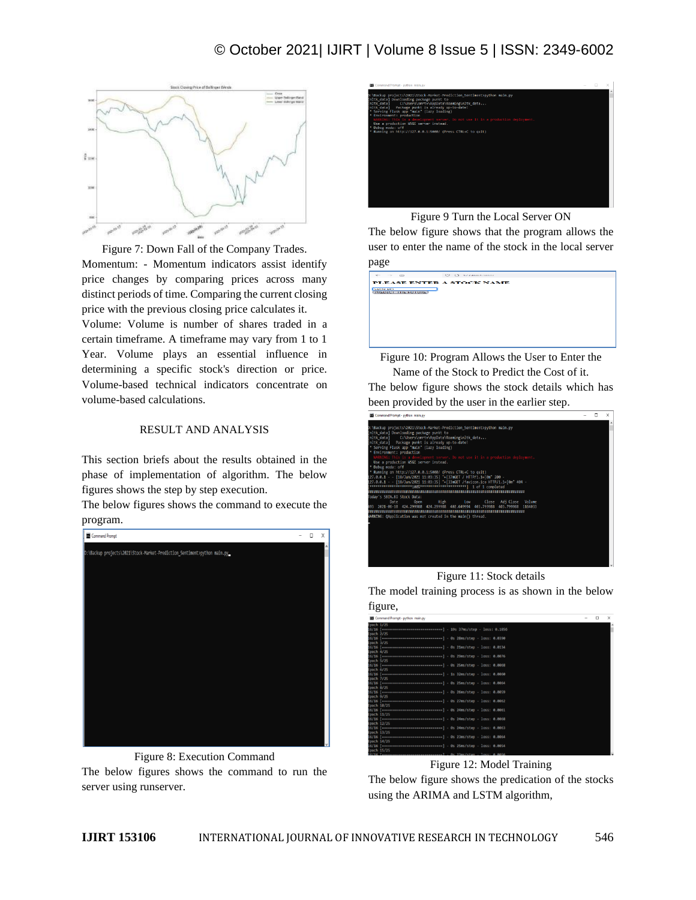

Figure 7: Down Fall of the Company Trades. Momentum: - Momentum indicators assist identify price changes by comparing prices across many

distinct periods of time. Comparing the current closing price with the previous closing price calculates it.

Volume: Volume is number of shares traded in a certain timeframe. A timeframe may vary from 1 to 1 Year. Volume plays an essential influence in determining a specific stock's direction or price. Volume-based technical indicators concentrate on volume-based calculations.

# RESULT AND ANALYSIS

This section briefs about the results obtained in the phase of implementation of algorithm. The below figures shows the step by step execution.

The below figures shows the command to execute the program.



Figure 8: Execution Command The below figures shows the command to run the server using runserver.



Figure 9 Turn the Local Server ON

The below figure shows that the program allows the user to enter the name of the stock in the local server page

**PLEASE ENTER A STOCK NAME** SSIN.BO<br>[PREDICT\_THE FUTURE]

Figure 10: Program Allows the User to Enter the Name of the Stock to Predict the Cost of it.

The below figure shows the stock details which has been provided by the user in the earlier step.



Figure 11: Stock details

The model training process is as shown in the below figure,

|                | Command Prompt - python main.py                                                      | $\sim$ | $\times$ |
|----------------|--------------------------------------------------------------------------------------|--------|----------|
| Epoch 1/25     |                                                                                      |        |          |
|                | 16/16 [ --------------------------------] - 19s 37ms/step - loss: 0.1856             |        |          |
| Epoch $2/25$   |                                                                                      |        |          |
|                | 16/16 [-------------------------------] - 0s 28ms/step - loss: 0.0390                |        |          |
| $50$ ch $3/25$ |                                                                                      |        |          |
|                | $16/16$ [=================================] - 0s 21ms/step - loss: 0.0134            |        |          |
| Epoch 4/25     |                                                                                      |        |          |
|                | 16/16 [================================] - 0s 29ms/step - loss: 0.0076               |        |          |
| Epoch 5/25     |                                                                                      |        |          |
|                | 16/16 [--------------------------------] - 0s 25ms/step - loss: 0.0068               |        |          |
| $50$ ch $6/25$ |                                                                                      |        |          |
|                | 16/16 [--------------------------------] - 1s 32ms/step - loss: 0.0060               |        |          |
| Epoch 7/25     |                                                                                      |        |          |
|                | 16/16 [================================ ] - 0s 25ms/step - loss: 0.0064              |        |          |
| Epoch 8/25     |                                                                                      |        |          |
|                | 16/16 [===============================] - 0s 26ms/step - loss: 0.0059                |        |          |
| Epoch 9/25     |                                                                                      |        |          |
|                | 16/16 [-------------------------------] - 0s 27ms/step - loss: 0.0062                |        |          |
|                | Epoch 10/25                                                                          |        |          |
|                | 16/16 [=================================] - 0s 24ms/step - loss: 0.0061              |        |          |
|                | Epoch 11/25                                                                          |        |          |
|                | 16/16 [===============================] - 0s 24ms/step - loss: 0.0068                |        |          |
|                | Epoch 12/25                                                                          |        |          |
|                | 16/16 [-------------------------------] - 0s 24ms/step - loss: 0.0063                |        |          |
|                | Epoch 13/25                                                                          |        |          |
|                | 16/16 [================================ ] - 0s 23ms/step - loss: 0.0064              |        |          |
| Epoch 14/25    |                                                                                      |        |          |
|                | 16/16 [ ================================ ] - 0s 25ms/step - loss: 0.0054             |        |          |
|                | Epoch 15/25<br>16/16 [-------------------------------] - 8s 23ms/step - loss: 0.0056 |        |          |
|                |                                                                                      |        |          |

Figure 12: Model Training

The below figure shows the predication of the stocks using the ARIMA and LSTM algorithm,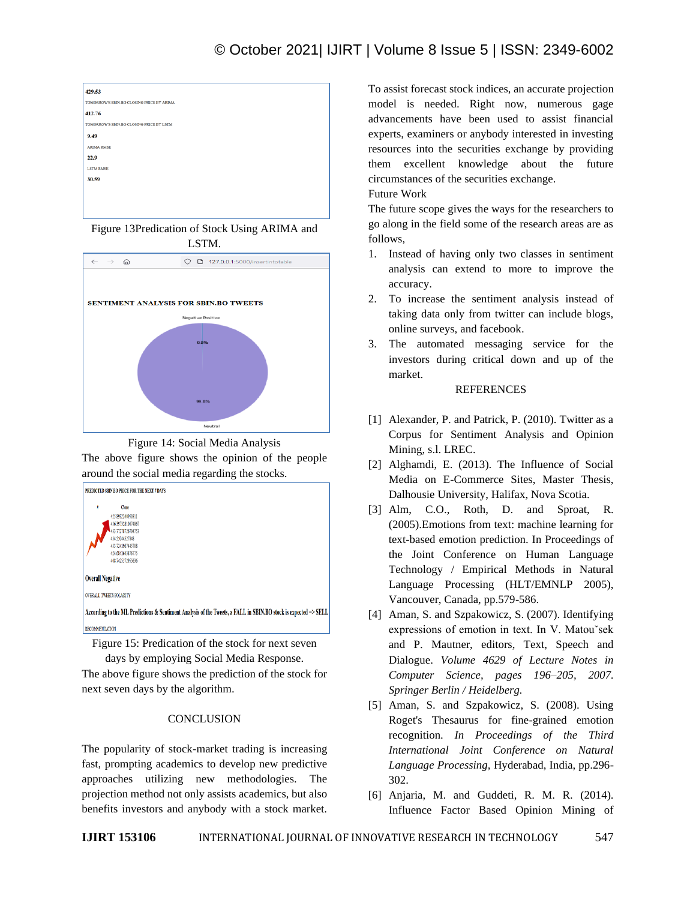

Figure 13Predication of Stock Using ARIMA and LSTM.



Figure 14: Social Media Analysis The above figure shows the opinion of the people around the social media regarding the stocks.



Figure 15: Predication of the stock for next seven days by employing Social Media Response.

The above figure shows the prediction of the stock for next seven days by the algorithm.

# **CONCLUSION**

The popularity of stock-market trading is increasing fast, prompting academics to develop new predictive approaches utilizing new methodologies. The projection method not only assists academics, but also benefits investors and anybody with a stock market.

To assist forecast stock indices, an accurate projection model is needed. Right now, numerous gage advancements have been used to assist financial experts, examiners or anybody interested in investing resources into the securities exchange by providing them excellent knowledge about the future circumstances of the securities exchange.

# Future Work

The future scope gives the ways for the researchers to go along in the field some of the research areas are as follows,

- 1. Instead of having only two classes in sentiment analysis can extend to more to improve the accuracy.
- 2. To increase the sentiment analysis instead of taking data only from twitter can include blogs, online surveys, and facebook.
- 3. The automated messaging service for the investors during critical down and up of the market.

# REFERENCES

- [1] Alexander, P. and Patrick, P. (2010). Twitter as a Corpus for Sentiment Analysis and Opinion Mining, s.l. LREC.
- [2] Alghamdi, E. (2013). The Influence of Social Media on E-Commerce Sites, Master Thesis, Dalhousie University, Halifax, Nova Scotia.
- [3] Alm, C.O., Roth, D. and Sproat, R. (2005).Emotions from text: machine learning for text-based emotion prediction. In Proceedings of the Joint Conference on Human Language Technology / Empirical Methods in Natural Language Processing (HLT/EMNLP 2005), Vancouver, Canada, pp.579-586.
- [4] Aman, S. and Szpakowicz, S. (2007). Identifying expressions of emotion in text. In V. Matouˇsek and P. Mautner, editors, Text, Speech and Dialogue. *Volume 4629 of Lecture Notes in Computer Science, pages 196–205, 2007. Springer Berlin / Heidelberg.*
- [5] Aman, S. and Szpakowicz, S. (2008). Using Roget's Thesaurus for fine-grained emotion recognition. *In Proceedings of the Third International Joint Conference on Natural Language Processing,* Hyderabad, India, pp.296- 302.
- [6] Anjaria, M. and Guddeti, R. M. R. (2014). Influence Factor Based Opinion Mining of